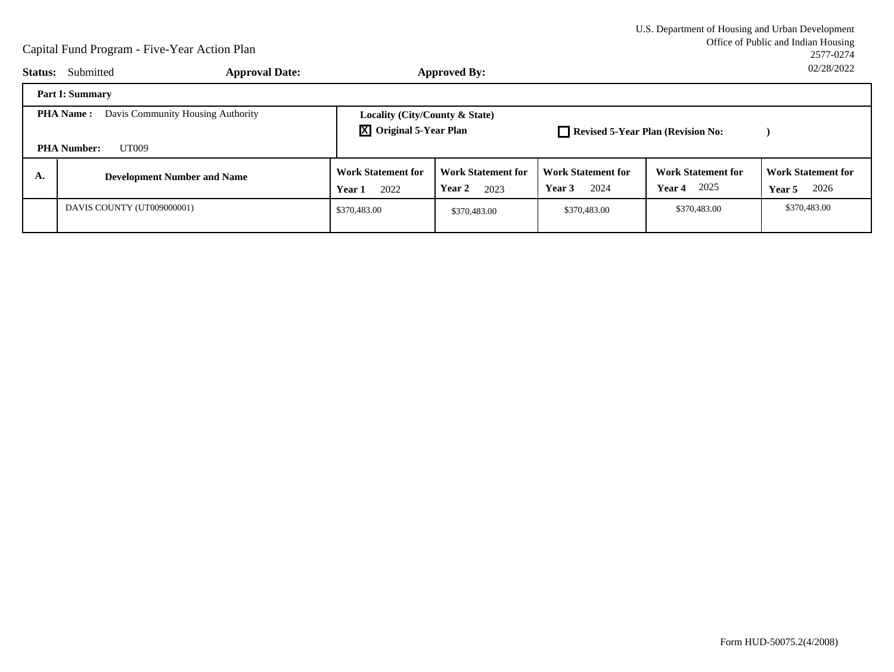| <b>Status:</b>                                                                       | Submitted<br><b>Approval Date:</b> |                                                                       | Approved By:                                |                                             |                                                    | UZIZOIZUZZ                                         |
|--------------------------------------------------------------------------------------|------------------------------------|-----------------------------------------------------------------------|---------------------------------------------|---------------------------------------------|----------------------------------------------------|----------------------------------------------------|
|                                                                                      | <b>Part I: Summary</b>             |                                                                       |                                             |                                             |                                                    |                                                    |
| Davis Community Housing Authority<br><b>PHA Name:</b><br><b>PHA Number:</b><br>UT009 |                                    | Locality (City/County & State)<br>$\overline{X}$ Original 5-Year Plan |                                             | Revised 5-Year Plan (Revision No:           |                                                    |                                                    |
| А.                                                                                   | <b>Development Number and Name</b> | <b>Work Statement for</b><br>2022<br>Year 1                           | <b>Work Statement for</b><br>Year 2<br>2023 | <b>Work Statement for</b><br>2024<br>Year 3 | <b>Work Statement for</b><br>2025<br><b>Year 4</b> | <b>Work Statement for</b><br>2026<br><b>Year 5</b> |
|                                                                                      | DAVIS COUNTY (UT009000001)         | \$370,483.00                                                          | \$370,483.00                                | \$370,483.00                                | \$370,483.00                                       | \$370,483.00                                       |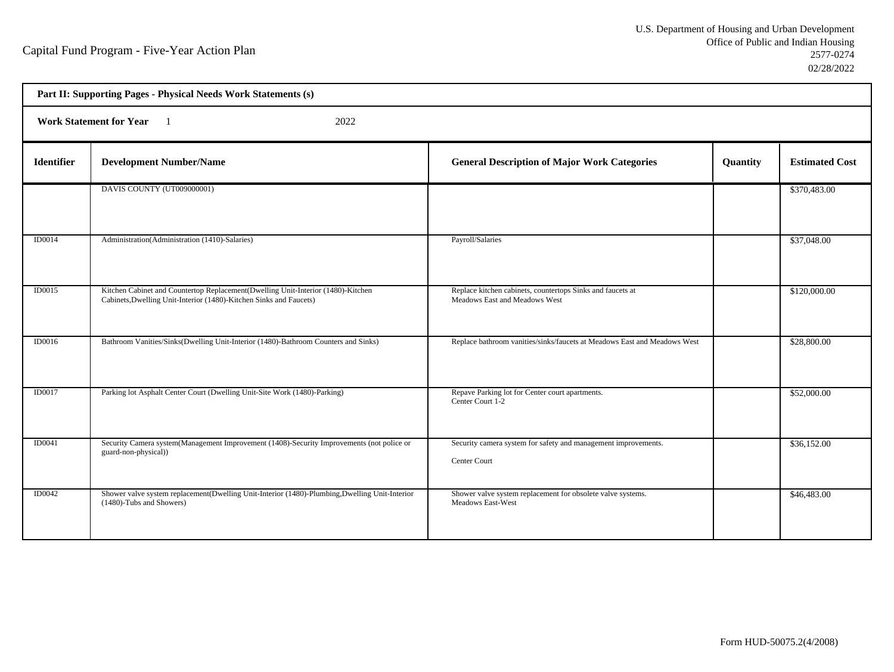h

| Part II: Supporting Pages - Physical Needs Work Statements (s) |                                                                                                                                                        |                                                                                             |          |                       |  |  |
|----------------------------------------------------------------|--------------------------------------------------------------------------------------------------------------------------------------------------------|---------------------------------------------------------------------------------------------|----------|-----------------------|--|--|
|                                                                | 2022<br><b>Work Statement for Year</b>                                                                                                                 |                                                                                             |          |                       |  |  |
| <b>Identifier</b>                                              | <b>Development Number/Name</b>                                                                                                                         | <b>General Description of Major Work Categories</b>                                         | Quantity | <b>Estimated Cost</b> |  |  |
|                                                                | DAVIS COUNTY (UT009000001)                                                                                                                             |                                                                                             |          | \$370,483.00          |  |  |
| ID0014                                                         | Administration (Administration (1410)-Salaries)                                                                                                        | Payroll/Salaries                                                                            |          | \$37,048.00           |  |  |
| ID0015                                                         | Kitchen Cabinet and Countertop Replacement(Dwelling Unit-Interior (1480)-Kitchen<br>Cabinets, Dwelling Unit-Interior (1480)-Kitchen Sinks and Faucets) | Replace kitchen cabinets, countertops Sinks and faucets at<br>Meadows East and Meadows West |          | \$120,000.00          |  |  |
| ID0016                                                         | Bathroom Vanities/Sinks(Dwelling Unit-Interior (1480)-Bathroom Counters and Sinks)                                                                     | Replace bathroom vanities/sinks/faucets at Meadows East and Meadows West                    |          | \$28,800.00           |  |  |
| ID0017                                                         | Parking lot Asphalt Center Court (Dwelling Unit-Site Work (1480)-Parking)                                                                              | Repave Parking lot for Center court apartments.<br>Center Court 1-2                         |          | \$52,000.00           |  |  |
| ID0041                                                         | Security Camera system(Management Improvement (1408)-Security Improvements (not police or<br>guard-non-physical))                                      | Security camera system for safety and management improvements.<br>Center Court              |          | \$36,152.00           |  |  |
| ID0042                                                         | Shower valve system replacement(Dwelling Unit-Interior (1480)-Plumbing, Dwelling Unit-Interior<br>(1480)-Tubs and Showers)                             | Shower valve system replacement for obsolete valve systems.<br><b>Meadows East-West</b>     |          | \$46,483.00           |  |  |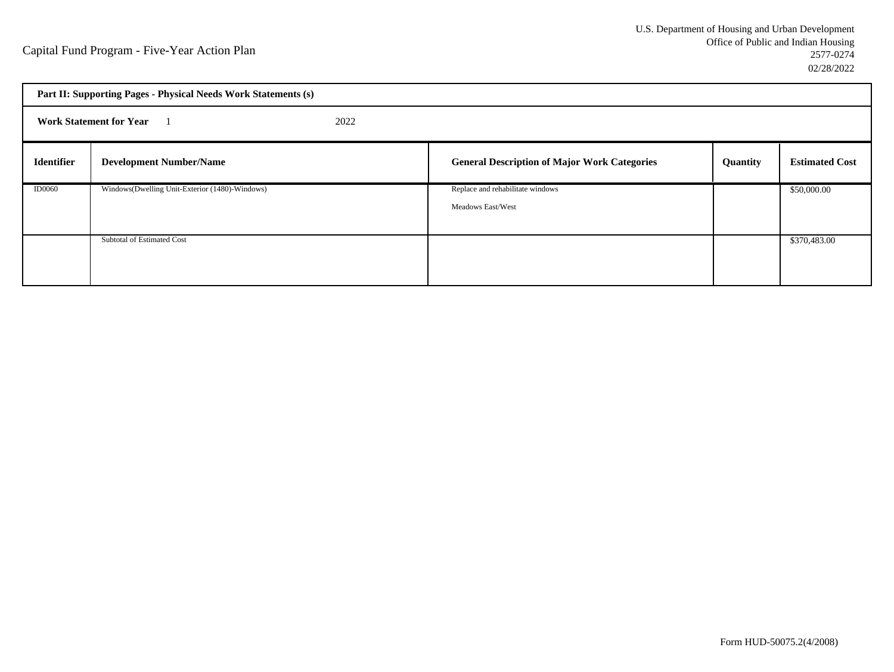|                                        | Part II: Supporting Pages - Physical Needs Work Statements (s) |  |                                                     |          |                       |
|----------------------------------------|----------------------------------------------------------------|--|-----------------------------------------------------|----------|-----------------------|
| 2022<br><b>Work Statement for Year</b> |                                                                |  |                                                     |          |                       |
| <b>Identifier</b>                      | <b>Development Number/Name</b>                                 |  | <b>General Description of Major Work Categories</b> | Quantity | <b>Estimated Cost</b> |
| <b>ID0060</b>                          | Windows(Dwelling Unit-Exterior (1480)-Windows)                 |  | Replace and rehabilitate windows                    |          | \$50,000.00           |
|                                        |                                                                |  | Meadows East/West                                   |          |                       |
|                                        |                                                                |  |                                                     |          |                       |
|                                        | Subtotal of Estimated Cost                                     |  |                                                     |          | \$370,483.00          |
|                                        |                                                                |  |                                                     |          |                       |
|                                        |                                                                |  |                                                     |          |                       |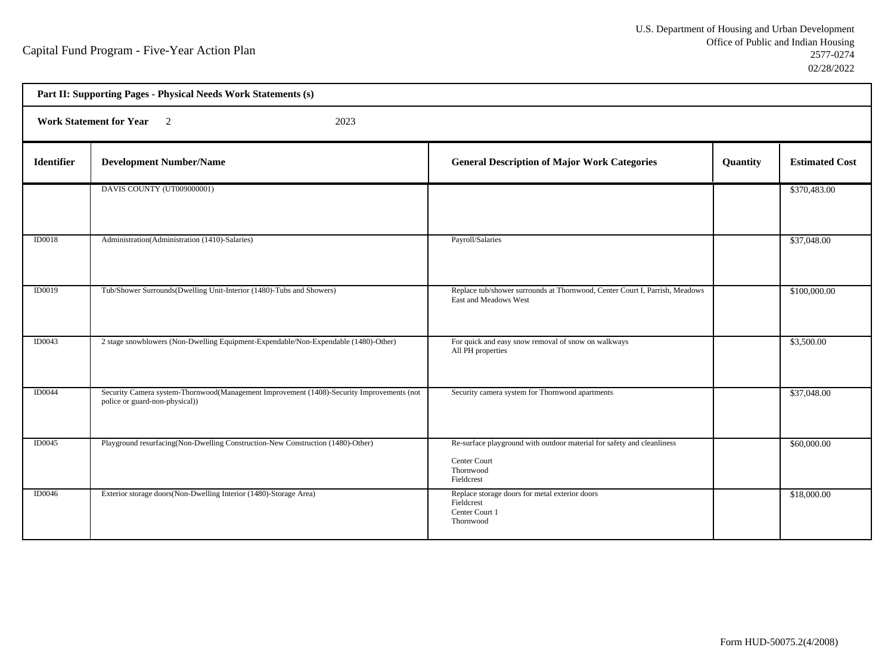| Part II: Supporting Pages - Physical Needs Work Statements (s) |                                                                                                                            |                                                                                                                   |          |                       |  |  |  |
|----------------------------------------------------------------|----------------------------------------------------------------------------------------------------------------------------|-------------------------------------------------------------------------------------------------------------------|----------|-----------------------|--|--|--|
|                                                                | Work Statement for Year 2<br>2023                                                                                          |                                                                                                                   |          |                       |  |  |  |
| <b>Identifier</b>                                              | <b>Development Number/Name</b>                                                                                             | <b>General Description of Major Work Categories</b>                                                               | Quantity | <b>Estimated Cost</b> |  |  |  |
|                                                                | DAVIS COUNTY (UT009000001)                                                                                                 |                                                                                                                   |          | \$370,483.00          |  |  |  |
| ID0018                                                         | Administration (Administration (1410)-Salaries)                                                                            | Payroll/Salaries                                                                                                  |          | \$37,048.00           |  |  |  |
| <b>ID0019</b>                                                  | Tub/Shower Surrounds(Dwelling Unit-Interior (1480)-Tubs and Showers)                                                       | Replace tub/shower surrounds at Thornwood, Center Court I, Parrish, Meadows<br>East and Meadows West              |          | \$100,000.00          |  |  |  |
| ID0043                                                         | 2 stage snowblowers (Non-Dwelling Equipment-Expendable/Non-Expendable (1480)-Other)                                        | For quick and easy snow removal of snow on walkways<br>All PH properties                                          |          | \$3,500.00            |  |  |  |
| <b>ID0044</b>                                                  | Security Camera system-Thornwood(Management Improvement (1408)-Security Improvements (not<br>police or guard-non-physical) | Security camera system for Thornwood apartments                                                                   |          | \$37,048.00           |  |  |  |
| ID0045                                                         | Playground resurfacing (Non-Dwelling Construction-New Construction (1480)-Other)                                           | Re-surface playground with outdoor material for safety and cleanliness<br>Center Court<br>Thornwood<br>Fieldcrest |          | \$60,000.00           |  |  |  |
| <b>ID0046</b>                                                  | Exterior storage doors(Non-Dwelling Interior (1480)-Storage Area)                                                          | Replace storage doors for metal exterior doors<br>Fieldcrest<br>Center Court 1<br>Thornwood                       |          | \$18,000.00           |  |  |  |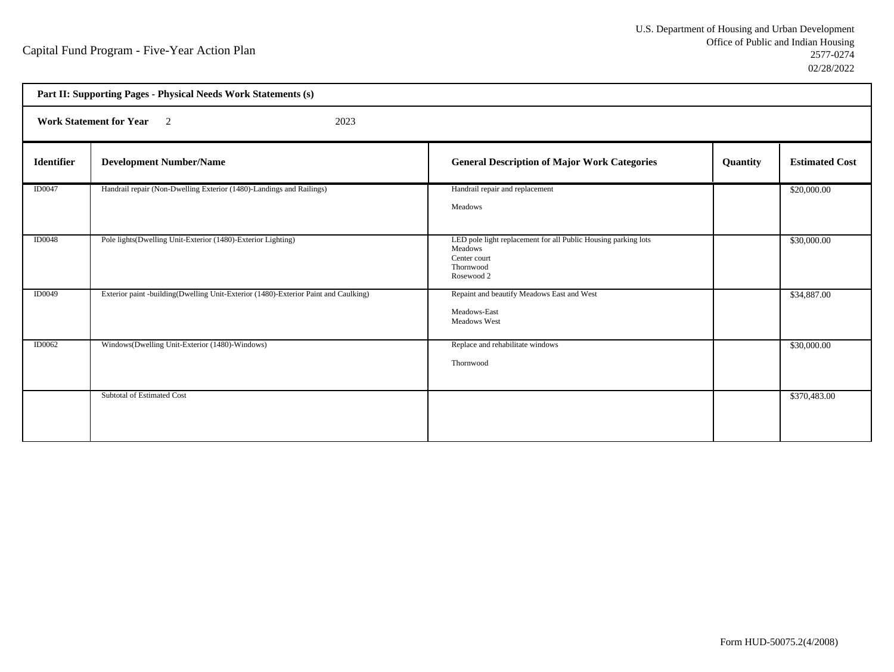|                   | Part II: Supporting Pages - Physical Needs Work Statements (s)                      |                                                                                                                      |          |                       |  |
|-------------------|-------------------------------------------------------------------------------------|----------------------------------------------------------------------------------------------------------------------|----------|-----------------------|--|
|                   | <b>Work Statement for Year</b> 2<br>2023                                            |                                                                                                                      |          |                       |  |
| <b>Identifier</b> | <b>Development Number/Name</b>                                                      | <b>General Description of Major Work Categories</b>                                                                  | Quantity | <b>Estimated Cost</b> |  |
| <b>ID0047</b>     | Handrail repair (Non-Dwelling Exterior (1480)-Landings and Railings)                | Handrail repair and replacement<br>Meadows                                                                           |          | \$20,000.00           |  |
| <b>ID0048</b>     | Pole lights (Dwelling Unit-Exterior (1480)-Exterior Lighting)                       | LED pole light replacement for all Public Housing parking lots<br>Meadows<br>Center court<br>Thornwood<br>Rosewood 2 |          | \$30,000.00           |  |
| <b>ID0049</b>     | Exterior paint -building(Dwelling Unit-Exterior (1480)-Exterior Paint and Caulking) | Repaint and beautify Meadows East and West<br>Meadows-East<br>Meadows West                                           |          | \$34,887.00           |  |
| <b>ID0062</b>     | Windows(Dwelling Unit-Exterior (1480)-Windows)                                      | Replace and rehabilitate windows<br>Thornwood                                                                        |          | \$30,000.00           |  |
|                   | Subtotal of Estimated Cost                                                          |                                                                                                                      |          | \$370,483.00          |  |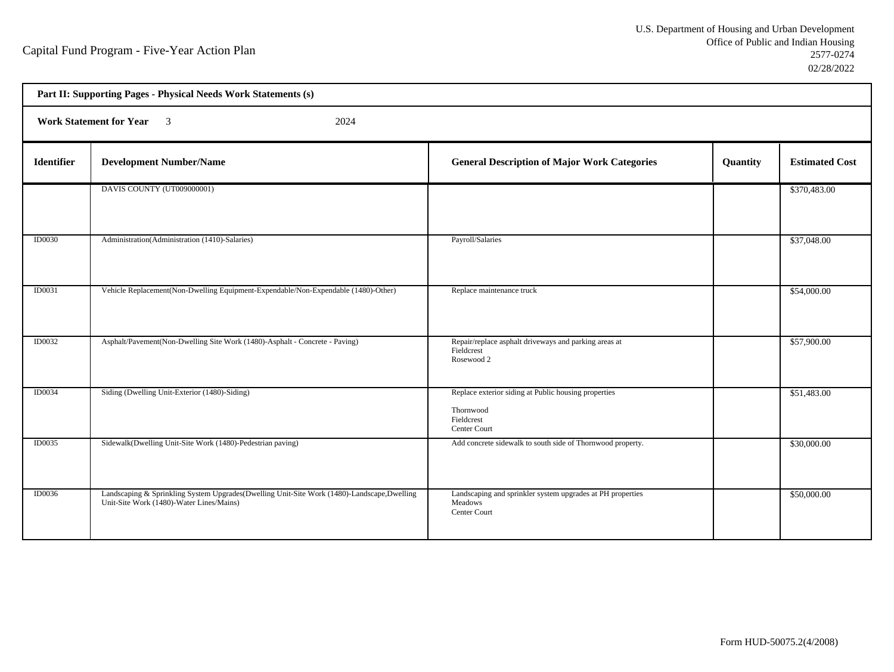h

| Part II: Supporting Pages - Physical Needs Work Statements (s) |                                                                                                                                        |                                                                                                 |          |                       |  |  |
|----------------------------------------------------------------|----------------------------------------------------------------------------------------------------------------------------------------|-------------------------------------------------------------------------------------------------|----------|-----------------------|--|--|
|                                                                | <b>Work Statement for Year</b> 3<br>2024                                                                                               |                                                                                                 |          |                       |  |  |
| <b>Identifier</b>                                              | <b>Development Number/Name</b>                                                                                                         | <b>General Description of Major Work Categories</b>                                             | Quantity | <b>Estimated Cost</b> |  |  |
|                                                                | DAVIS COUNTY (UT009000001)                                                                                                             |                                                                                                 |          | \$370,483.00          |  |  |
| <b>ID0030</b>                                                  | Administration (Administration (1410)-Salaries)                                                                                        | Payroll/Salaries                                                                                |          | \$37,048.00           |  |  |
| ID0031                                                         | Vehicle Replacement(Non-Dwelling Equipment-Expendable/Non-Expendable (1480)-Other)                                                     | Replace maintenance truck                                                                       |          | \$54,000.00           |  |  |
| <b>ID0032</b>                                                  | Asphalt/Pavement(Non-Dwelling Site Work (1480)-Asphalt - Concrete - Paving)                                                            | Repair/replace asphalt driveways and parking areas at<br>Fieldcrest<br>Rosewood 2               |          | \$57,900.00           |  |  |
| <b>ID0034</b>                                                  | Siding (Dwelling Unit-Exterior (1480)-Siding)                                                                                          | Replace exterior siding at Public housing properties<br>Thornwood<br>Fieldcrest<br>Center Court |          | \$51,483.00           |  |  |
| <b>ID0035</b>                                                  | Sidewalk(Dwelling Unit-Site Work (1480)-Pedestrian paving)                                                                             | Add concrete sidewalk to south side of Thornwood property.                                      |          | \$30,000.00           |  |  |
| <b>ID0036</b>                                                  | Landscaping & Sprinkling System Upgrades(Dwelling Unit-Site Work (1480)-Landscape,Dwelling<br>Unit-Site Work (1480)-Water Lines/Mains) | Landscaping and sprinkler system upgrades at PH properties<br>Meadows<br>Center Court           |          | \$50,000.00           |  |  |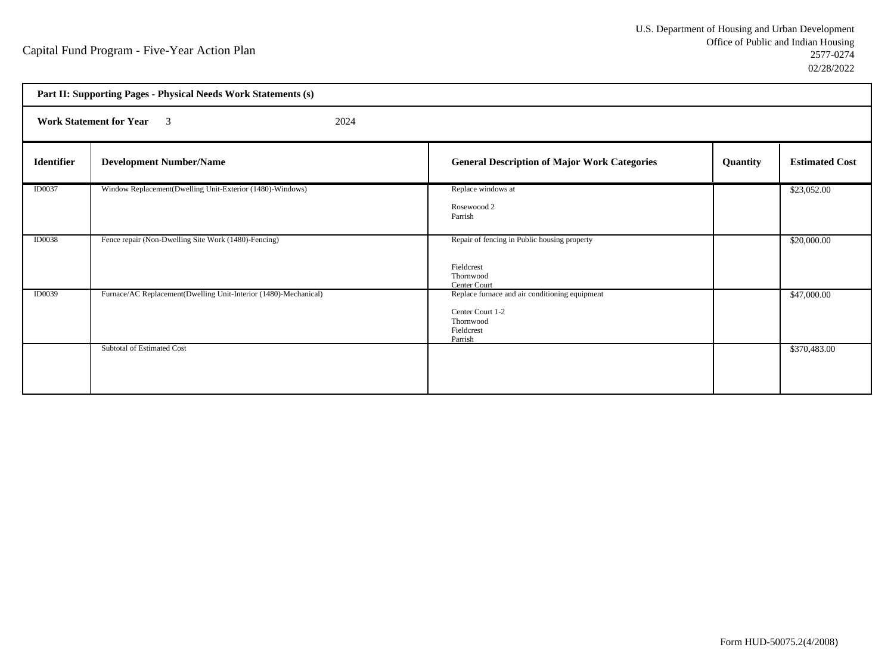|                   | Part II: Supporting Pages - Physical Needs Work Statements (s)   |                                                                                                          |          |                       |  |  |
|-------------------|------------------------------------------------------------------|----------------------------------------------------------------------------------------------------------|----------|-----------------------|--|--|
|                   | <b>Work Statement for Year</b> 3<br>2024                         |                                                                                                          |          |                       |  |  |
| <b>Identifier</b> | <b>Development Number/Name</b>                                   | <b>General Description of Major Work Categories</b>                                                      | Quantity | <b>Estimated Cost</b> |  |  |
| <b>ID0037</b>     | Window Replacement(Dwelling Unit-Exterior (1480)-Windows)        | Replace windows at<br>Rosewoood 2<br>Parrish                                                             |          | \$23,052.00           |  |  |
| <b>ID0038</b>     | Fence repair (Non-Dwelling Site Work (1480)-Fencing)             | Repair of fencing in Public housing property<br>Fieldcrest<br>Thornwood<br>Center Court                  |          | \$20,000.00           |  |  |
| ID0039            | Furnace/AC Replacement(Dwelling Unit-Interior (1480)-Mechanical) | Replace furnace and air conditioning equipment<br>Center Court 1-2<br>Thornwood<br>Fieldcrest<br>Parrish |          | \$47,000.00           |  |  |
|                   | Subtotal of Estimated Cost                                       |                                                                                                          |          | \$370,483.00          |  |  |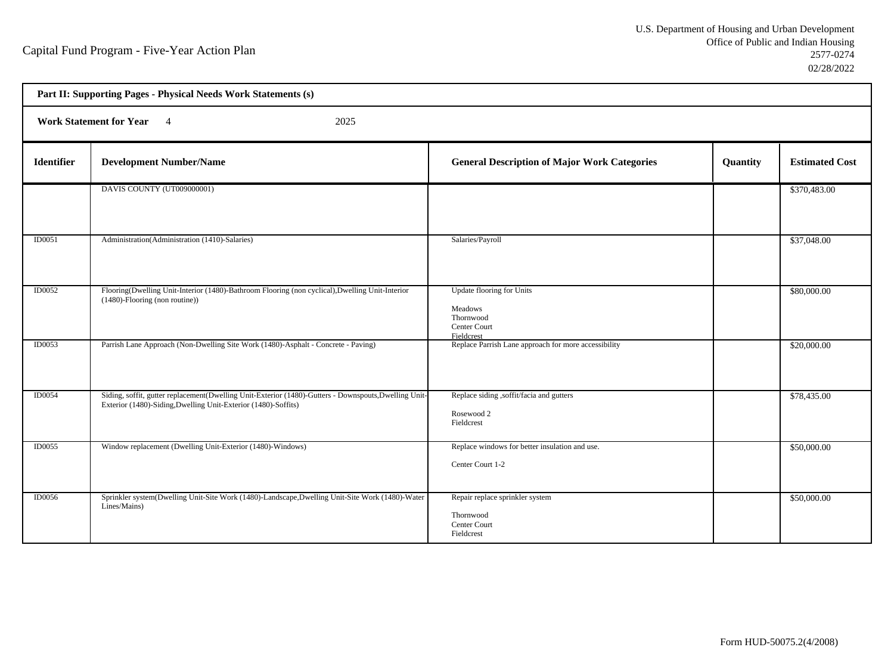| Part II: Supporting Pages - Physical Needs Work Statements (s) |                                                                                                                                                                         |                                                                                 |          |                       |  |  |
|----------------------------------------------------------------|-------------------------------------------------------------------------------------------------------------------------------------------------------------------------|---------------------------------------------------------------------------------|----------|-----------------------|--|--|
|                                                                | Work Statement for Year 4<br>2025                                                                                                                                       |                                                                                 |          |                       |  |  |
| <b>Identifier</b>                                              | <b>Development Number/Name</b>                                                                                                                                          | <b>General Description of Major Work Categories</b>                             | Quantity | <b>Estimated Cost</b> |  |  |
|                                                                | DAVIS COUNTY (UT009000001)                                                                                                                                              |                                                                                 |          | \$370,483.00          |  |  |
| ID0051                                                         | Administration (Administration (1410)-Salaries)                                                                                                                         | Salaries/Payroll                                                                |          | \$37,048.00           |  |  |
| <b>ID0052</b>                                                  | Flooring(Dwelling Unit-Interior (1480)-Bathroom Flooring (non cyclical), Dwelling Unit-Interior<br>(1480)-Flooring (non routine))                                       | Update flooring for Units<br>Meadows<br>Thornwood<br>Center Court<br>Fieldcrest |          | \$80,000.00           |  |  |
| ID0053                                                         | Parrish Lane Approach (Non-Dwelling Site Work (1480)-Asphalt - Concrete - Paving)                                                                                       | Replace Parrish Lane approach for more accessibility                            |          | \$20,000.00           |  |  |
| ID0054                                                         | Siding, soffit, gutter replacement(Dwelling Unit-Exterior (1480)-Gutters - Downspouts, Dwelling Unit-<br>Exterior (1480)-Siding, Dwelling Unit-Exterior (1480)-Soffits) | Replace siding ,soffit/facia and gutters<br>Rosewood 2<br>Fieldcrest            |          | \$78,435.00           |  |  |
| ID0055                                                         | Window replacement (Dwelling Unit-Exterior (1480)-Windows)                                                                                                              | Replace windows for better insulation and use.<br>Center Court 1-2              |          | \$50,000.00           |  |  |
| <b>ID0056</b>                                                  | Sprinkler system(Dwelling Unit-Site Work (1480)-Landscape,Dwelling Unit-Site Work (1480)-Water<br>Lines/Mains)                                                          | Repair replace sprinkler system<br>Thornwood<br>Center Court<br>Fieldcrest      |          | \$50,000.00           |  |  |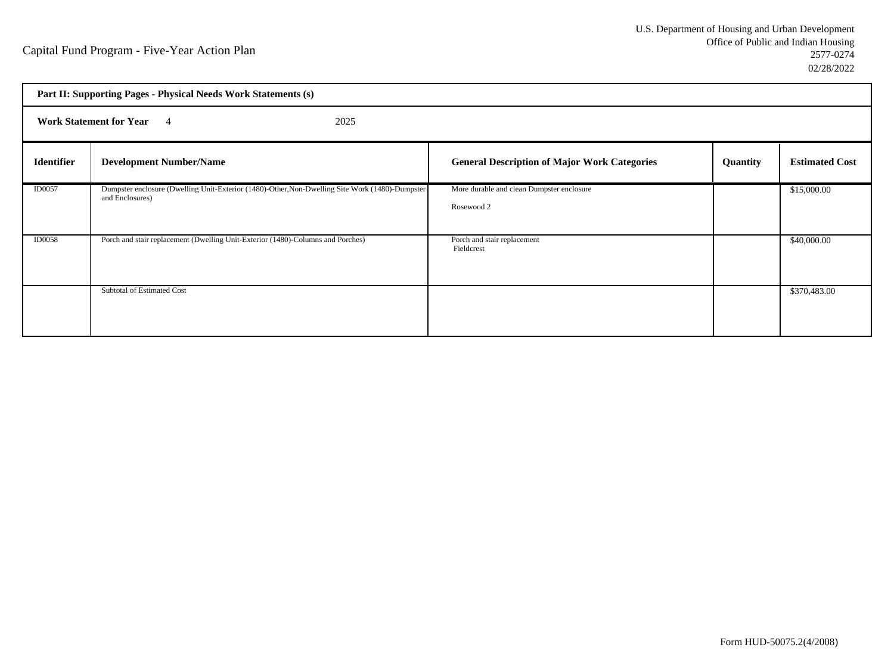|                   | Part II: Supporting Pages - Physical Needs Work Statements (s)                                                     |                                                         |          |                       |  |  |
|-------------------|--------------------------------------------------------------------------------------------------------------------|---------------------------------------------------------|----------|-----------------------|--|--|
|                   | <b>Work Statement for Year</b> 4<br>2025                                                                           |                                                         |          |                       |  |  |
| <b>Identifier</b> | <b>Development Number/Name</b>                                                                                     | <b>General Description of Major Work Categories</b>     | Quantity | <b>Estimated Cost</b> |  |  |
| <b>ID0057</b>     | Dumpster enclosure (Dwelling Unit-Exterior (1480)-Other, Non-Dwelling Site Work (1480)-Dumpster<br>and Enclosures) | More durable and clean Dumpster enclosure<br>Rosewood 2 |          | \$15,000.00           |  |  |
| <b>ID0058</b>     | Porch and stair replacement (Dwelling Unit-Exterior (1480)-Columns and Porches)                                    | Porch and stair replacement<br>Fieldcrest               |          | \$40,000.00           |  |  |
|                   | Subtotal of Estimated Cost                                                                                         |                                                         |          | \$370,483.00          |  |  |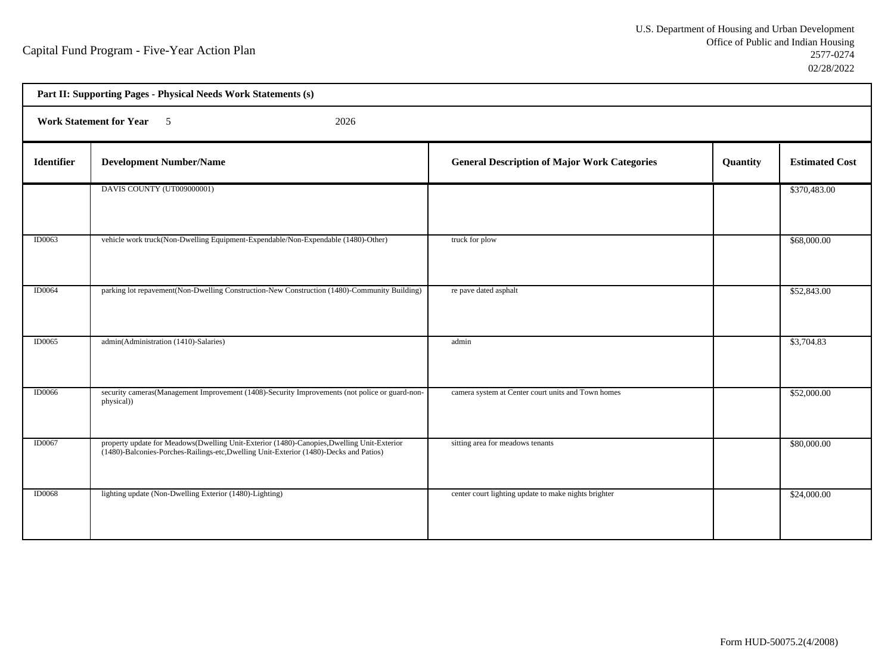h

| Part II: Supporting Pages - Physical Needs Work Statements (s) |                                                                                                                                                                                      |                                                      |          |                       |  |  |
|----------------------------------------------------------------|--------------------------------------------------------------------------------------------------------------------------------------------------------------------------------------|------------------------------------------------------|----------|-----------------------|--|--|
|                                                                | Work Statement for Year 5<br>2026                                                                                                                                                    |                                                      |          |                       |  |  |
| Identifier                                                     | <b>Development Number/Name</b>                                                                                                                                                       | <b>General Description of Major Work Categories</b>  | Quantity | <b>Estimated Cost</b> |  |  |
|                                                                | DAVIS COUNTY (UT009000001)                                                                                                                                                           |                                                      |          | \$370,483.00          |  |  |
| <b>ID0063</b>                                                  | vehicle work truck(Non-Dwelling Equipment-Expendable/Non-Expendable (1480)-Other)                                                                                                    | truck for plow                                       |          | \$68,000.00           |  |  |
| <b>ID0064</b>                                                  | parking lot repavement(Non-Dwelling Construction-New Construction (1480)-Community Building)                                                                                         | re pave dated asphalt                                |          | \$52,843.00           |  |  |
| <b>ID0065</b>                                                  | admin(Administration (1410)-Salaries)                                                                                                                                                | admin                                                |          | \$3,704.83            |  |  |
| <b>ID0066</b>                                                  | security cameras(Management Improvement (1408)-Security Improvements (not police or guard-non-<br>physical))                                                                         | camera system at Center court units and Town homes   |          | \$52,000.00           |  |  |
| <b>ID0067</b>                                                  | property update for Meadows(Dwelling Unit-Exterior (1480)-Canopies, Dwelling Unit-Exterior<br>(1480)-Balconies-Porches-Railings-etc, Dwelling Unit-Exterior (1480)-Decks and Patios) | sitting area for meadows tenants                     |          | \$80,000.00           |  |  |
| <b>ID0068</b>                                                  | lighting update (Non-Dwelling Exterior (1480)-Lighting)                                                                                                                              | center court lighting update to make nights brighter |          | \$24,000.00           |  |  |